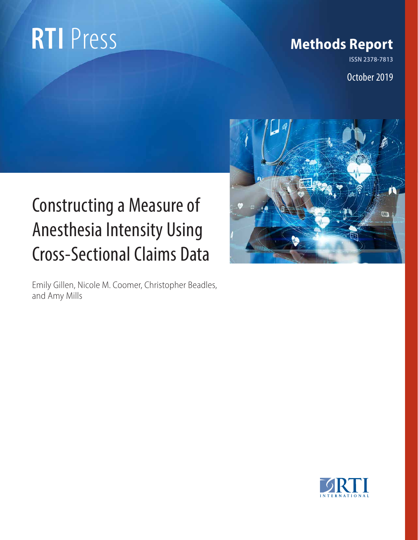# **RTI** Press Methods Report

**ISSN 2378-7813**

October 2019

## Constructing a Measure of Anesthesia Intensity Using Cross-Sectional Claims Data

Emily Gillen, Nicole M. Coomer, Christopher Beadles, and Amy Mills



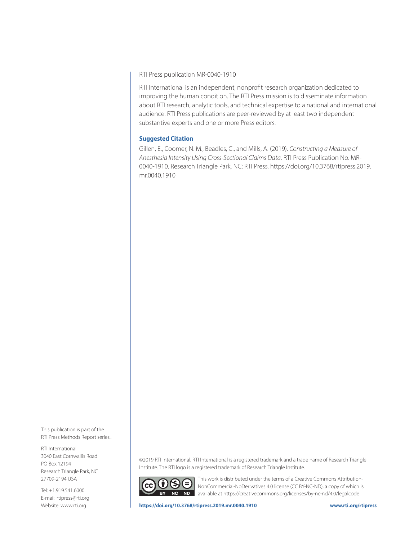RTI Press publication MR-0040-1910

RTI International is an independent, nonprofit research organization dedicated to improving the human condition. The RTI Press mission is to disseminate information about RTI research, analytic tools, and technical expertise to a national and international audience. RTI Press publications are peer-reviewed by at least two independent substantive experts and one or more Press editors.

#### **Suggested Citation**

Gillen, E., Coomer, N. M., Beadles, C., and Mills, A. (2019). *Constructing a Measure of Anesthesia Intensity Using Cross-Sectional Claims Data*. RTI Press Publication No. MR-0040-1910. Research Triangle Park, NC: RTI Press. [https://doi.org/10.3768/rtipress.2019.](https://doi.org/10.3768/rtipress.2019.mr.0040.1910) [mr.0040.1910](https://doi.org/10.3768/rtipress.2019.mr.0040.1910)

This publication is part of the RTI Press Methods Report series..

RTI International 3040 East Cornwallis Road PO Box 12194 Research Triangle Park, NC 27709-2194 USA

Tel: +1.919.541.6000 E-mail: [rtipress@rti.org](mailto:rtipress@rti.org) Website: [www.rt](http://www.rti.org)i.org

©2019 RTI International. RTI International is a registered trademark and a trade name of Research Triangle Institute. The RTI logo is a registered trademark of Research Triangle Institute.



This work is distributed under the terms of a Creative Commons Attribution-NonCommercial-NoDerivatives 4.0 license (CC BY-NC-ND), a copy of which is available at<https://creativecommons.org/licenses/by-nc-nd/4.0/legalcode>

**<https://doi.org/10.3768/rtipress.2019.mr.0040.1910> [www.rti.org/rti](http://www.rti.org/rtipress)press**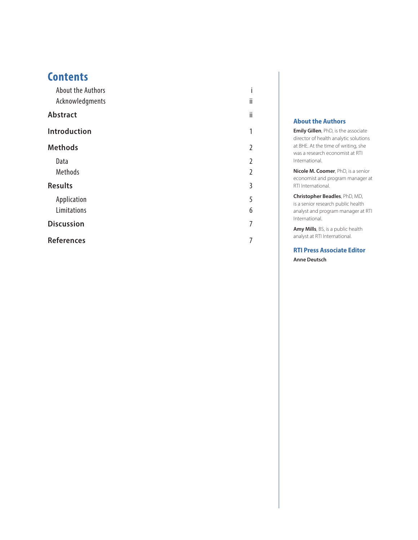### **Contents**

| <b>About the Authors</b> |                |
|--------------------------|----------------|
| Acknowledgments          | ij             |
| <b>Abstract</b>          | ii             |
| <b>Introduction</b>      | 1              |
| <b>Methods</b>           | $\overline{2}$ |
| Data                     | $\overline{2}$ |
| Methods                  | $\overline{2}$ |
| <b>Results</b>           | 3              |
| Application              | 5              |
| Limitations              | 6              |
| <b>Discussion</b>        | 7              |
| <b>References</b>        | 7              |

#### **About the Authors**

İ.

1

2

2

2

3

5

6

7

7

**Emily Gillen**, PhD, is the associate director of health analytic solutions at BHE. At the time of writing, she was a research economist at RTI International.

**Nicole M. Coomer**, PhD, is a senior economist and program manager at RTI International.

**Christopher Beadles**, PhD, MD, is a senior research public health analyst and program manager at RTI International.

**Amy Mills**, BS, is a public health analyst at RTI International.

**RTI Press Associate Editor Anne Deutsch**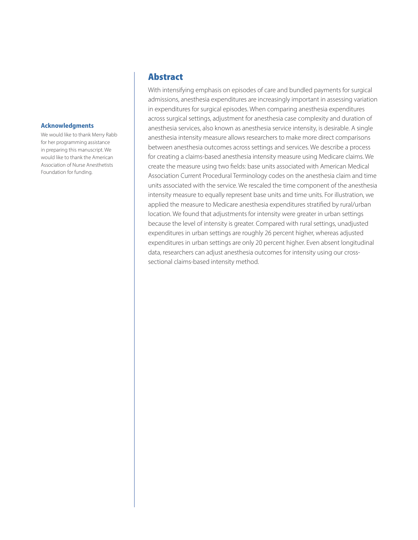#### <span id="page-3-0"></span>**Acknowledgments**

We would like to thank Merry Rabb for her programming assistance in preparing this manuscript. We would like to thank the American Association of Nurse Anesthetists Foundation for funding.

#### Abstract

With intensifying emphasis on episodes of care and bundled payments for surgical admissions, anesthesia expenditures are increasingly important in assessing variation in expenditures for surgical episodes. When comparing anesthesia expenditures across surgical settings, adjustment for anesthesia case complexity and duration of anesthesia services, also known as anesthesia service intensity, is desirable. A single anesthesia intensity measure allows researchers to make more direct comparisons between anesthesia outcomes across settings and services. We describe a process for creating a claims-based anesthesia intensity measure using Medicare claims. We create the measure using two fields: base units associated with American Medical Association Current Procedural Terminology codes on the anesthesia claim and time units associated with the service. We rescaled the time component of the anesthesia intensity measure to equally represent base units and time units. For illustration, we applied the measure to Medicare anesthesia expenditures stratified by rural/urban location. We found that adjustments for intensity were greater in urban settings because the level of intensity is greater. Compared with rural settings, unadjusted expenditures in urban settings are roughly 26 percent higher, whereas adjusted expenditures in urban settings are only 20 percent higher. Even absent longitudinal data, researchers can adjust anesthesia outcomes for intensity using our crosssectional claims-based intensity method.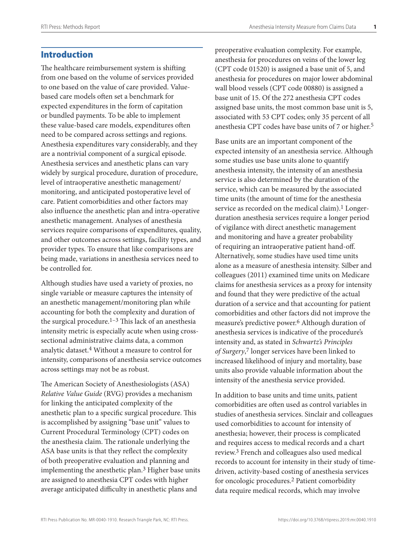#### <span id="page-4-0"></span>Introduction

The healthcare reimbursement system is shifting from one based on the volume of services provided to one based on the value of care provided. Valuebased care models often set a benchmark for expected expenditures in the form of capitation or bundled payments. To be able to implement these value-based care models, expenditures often need to be compared across settings and regions. Anesthesia expenditures vary considerably, and they are a nontrivial component of a surgical episode. Anesthesia services and anesthetic plans can vary widely by surgical procedure, duration of procedure, level of intraoperative anesthetic management/ monitoring, and anticipated postoperative level of care. Patient comorbidities and other factors may also influence the anesthetic plan and intra-operative anesthetic management. Analyses of anesthesia services require comparisons of expenditures, quality, and other outcomes across settings, facility types, and provider types. To ensure that like comparisons are being made, variations in anesthesia services need to be controlled for.

Although studies have used a variety of proxies, no single variable or measure captures the intensity of an anesthetic management/monitoring plan while accounting for both the complexity and duration of the surgical procedure.<sup>1–3</sup> This lack of an anesthesia intensity metric is especially acute when using crosssectional administrative claims data, a common analytic dataset.4 Without a measure to control for intensity, comparisons of anesthesia service outcomes across settings may not be as robust.

The American Society of Anesthesiologists (ASA) *Relative Value Guide* (RVG) provides a mechanism for linking the anticipated complexity of the anesthetic plan to a specific surgical procedure. This is accomplished by assigning "base unit" values to Current Procedural Terminology (CPT) codes on the anesthesia claim. The rationale underlying the ASA base units is that they reflect the complexity of both preoperative evaluation and planning and implementing the anesthetic plan.3 Higher base units are assigned to anesthesia CPT codes with higher average anticipated difficulty in anesthetic plans and

preoperative evaluation complexity. For example, anesthesia for procedures on veins of the lower leg (CPT code 01520) is assigned a base unit of 5, and anesthesia for procedures on major lower abdominal wall blood vessels (CPT code 00880) is assigned a base unit of 15. Of the 272 anesthesia CPT codes assigned base units, the most common base unit is 5, associated with 53 CPT codes; only 35 percent of all anesthesia CPT codes have base units of 7 or higher.5

Base units are an important component of the expected intensity of an anesthesia service. Although some studies use base units alone to quantify anesthesia intensity, the intensity of an anesthesia service is also determined by the duration of the service, which can be measured by the associated time units (the amount of time for the anesthesia service as recorded on the medical claim).<sup>1</sup> Longerduration anesthesia services require a longer period of vigilance with direct anesthetic management and monitoring and have a greater probability of requiring an intraoperative patient hand-off. Alternatively, some studies have used time units alone as a measure of anesthesia intensity. Silber and colleagues (2011) examined time units on Medicare claims for anesthesia services as a proxy for intensity and found that they were predictive of the actual duration of a service and that accounting for patient comorbidities and other factors did not improve the measure's predictive power.6 Although duration of anesthesia services is indicative of the procedure's intensity and, as stated in *Schwartz's Principles of Surgery*, 7 longer services have been linked to increased likelihood of injury and mortality, base units also provide valuable information about the intensity of the anesthesia service provided.

In addition to base units and time units, patient comorbidities are often used as control variables in studies of anesthesia services. Sinclair and colleagues used comorbidities to account for intensity of anesthesia; however, their process is complicated and requires access to medical records and a chart review.3 French and colleagues also used medical records to account for intensity in their study of timedriven, activity-based costing of anesthesia services for oncologic procedures.2 Patient comorbidity data require medical records, which may involve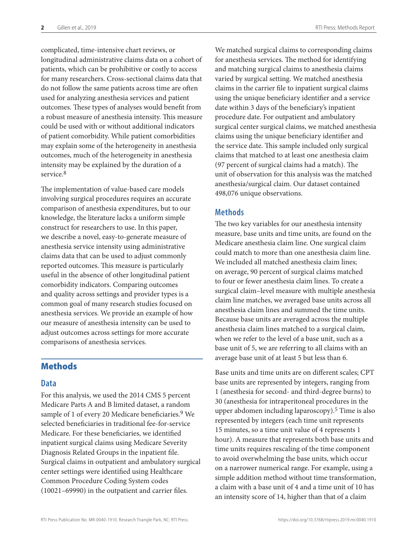<span id="page-5-0"></span>complicated, time-intensive chart reviews, or longitudinal administrative claims data on a cohort of patients, which can be prohibitive or costly to access for many researchers. Cross-sectional claims data that do not follow the same patients across time are often used for analyzing anesthesia services and patient outcomes. These types of analyses would benefit from a robust measure of anesthesia intensity. This measure could be used with or without additional indicators of patient comorbidity. While patient comorbidities may explain some of the heterogeneity in anesthesia outcomes, much of the heterogeneity in anesthesia intensity may be explained by the duration of a service.<sup>8</sup>

The implementation of value-based care models involving surgical procedures requires an accurate comparison of anesthesia expenditures, but to our knowledge, the literature lacks a uniform simple construct for researchers to use. In this paper, we describe a novel, easy-to-generate measure of anesthesia service intensity using administrative claims data that can be used to adjust commonly reported outcomes. This measure is particularly useful in the absence of other longitudinal patient comorbidity indicators. Comparing outcomes and quality across settings and provider types is a common goal of many research studies focused on anesthesia services. We provide an example of how our measure of anesthesia intensity can be used to adjust outcomes across settings for more accurate comparisons of anesthesia services.

#### Methods

#### **Data**

For this analysis, we used the 2014 CMS 5 percent Medicare Parts A and B limited dataset, a random sample of 1 of every 20 Medicare beneficiaries.<sup>9</sup> We selected beneficiaries in traditional fee-for-service Medicare. For these beneficiaries, we identified inpatient surgical claims using Medicare Severity Diagnosis Related Groups in the inpatient file. Surgical claims in outpatient and ambulatory surgical center settings were identified using Healthcare Common Procedure Coding System codes (10021–69990) in the outpatient and carrier files.

We matched surgical claims to corresponding claims for anesthesia services. The method for identifying and matching surgical claims to anesthesia claims varied by surgical setting. We matched anesthesia claims in the carrier file to inpatient surgical claims using the unique beneficiary identifier and a service date within 3 days of the beneficiary's inpatient procedure date. For outpatient and ambulatory surgical center surgical claims, we matched anesthesia claims using the unique beneficiary identifier and the service date. This sample included only surgical claims that matched to at least one anesthesia claim (97 percent of surgical claims had a match). The unit of observation for this analysis was the matched anesthesia/surgical claim. Our dataset contained 498,076 unique observations.

#### **Methods**

The two key variables for our anesthesia intensity measure, base units and time units, are found on the Medicare anesthesia claim line. One surgical claim could match to more than one anesthesia claim line. We included all matched anesthesia claim lines; on average, 90 percent of surgical claims matched to four or fewer anesthesia claim lines. To create a surgical claim–level measure with multiple anesthesia claim line matches, we averaged base units across all anesthesia claim lines and summed the time units. Because base units are averaged across the multiple anesthesia claim lines matched to a surgical claim, when we refer to the level of a base unit, such as a base unit of 5, we are referring to all claims with an average base unit of at least 5 but less than 6.

Base units and time units are on different scales; CPT base units are represented by integers, ranging from 1 (anesthesia for second- and third-degree burns) to 30 (anesthesia for intraperitoneal procedures in the upper abdomen including laparoscopy).5 Time is also represented by integers (each time unit represents 15 minutes, so a time unit value of 4 represents 1 hour). A measure that represents both base units and time units requires rescaling of the time component to avoid overwhelming the base units, which occur on a narrower numerical range. For example, using a simple addition method without time transformation, a claim with a base unit of 4 and a time unit of 10 has an intensity score of 14, higher than that of a claim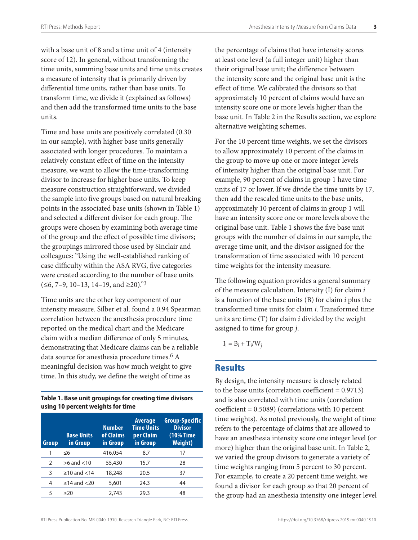<span id="page-6-0"></span>with a base unit of 8 and a time unit of 4 (intensity score of 12). In general, without transforming the time units, summing base units and time units creates a measure of intensity that is primarily driven by differential time units, rather than base units. To transform time, we divide it (explained as follows) and then add the transformed time units to the base units.

Time and base units are positively correlated (0.30 in our sample), with higher base units generally associated with longer procedures. To maintain a relatively constant effect of time on the intensity measure, we want to allow the time-transforming divisor to increase for higher base units. To keep measure construction straightforward, we divided the sample into five groups based on natural breaking points in the associated base units (shown in Table 1) and selected a different divisor for each group. The groups were chosen by examining both average time of the group and the effect of possible time divisors; the groupings mirrored those used by Sinclair and colleagues: "Using the well-established ranking of case difficulty within the ASA RVG, five categories were created according to the number of base units  $(≤6, 7-9, 10-13, 14-19, and ≥20).$ <sup>3</sup>

Time units are the other key component of our intensity measure. Silber et al. found a 0.94 Spearman correlation between the anesthesia procedure time reported on the medical chart and the Medicare claim with a median difference of only 5 minutes, demonstrating that Medicare claims can be a reliable data source for anesthesia procedure times.<sup>6</sup> A meaningful decision was how much weight to give time. In this study, we define the weight of time as

**Table 1. Base unit groupings for creating time divisors using 10 percent weights for time**

| Group         | <b>Base Units</b><br><b>in Group</b> | <b>Number</b><br>of Claims<br>in Group | <b>Average</b><br><b>Time Units</b><br>per Claim<br>in Group | <b>Group-Specific</b><br><b>Divisor</b><br>(10% Time)<br><b>Weight</b> ) |
|---------------|--------------------------------------|----------------------------------------|--------------------------------------------------------------|--------------------------------------------------------------------------|
| 1             | $\leq 6$                             | 416,054                                | 8.7                                                          | 17                                                                       |
| $\mathcal{P}$ | $>6$ and $<$ 10                      | 55,430                                 | 15.7                                                         | 28                                                                       |
| 3             | $\geq$ 10 and $<$ 14                 | 18,248                                 | 20.5                                                         | 37                                                                       |
| 4             | $\geq$ 14 and $\lt$ 20               | 5,601                                  | 24.3                                                         | 44                                                                       |
| 5             | >20                                  | 2.743                                  | 29.3                                                         | 48                                                                       |

the percentage of claims that have intensity scores at least one level (a full integer unit) higher than their original base unit; the difference between the intensity score and the original base unit is the effect of time. We calibrated the divisors so that approximately 10 percent of claims would have an intensity score one or more levels higher than the base unit. In Table 2 in the Results section, we explore alternative weighting schemes.

For the 10 percent time weights, we set the divisors to allow approximately 10 percent of the claims in the group to move up one or more integer levels of intensity higher than the original base unit. For example, 90 percent of claims in group 1 have time units of 17 or lower. If we divide the time units by 17, then add the rescaled time units to the base units, approximately 10 percent of claims in group 1 will have an intensity score one or more levels above the original base unit. Table 1 shows the five base unit groups with the number of claims in our sample, the average time unit, and the divisor assigned for the transformation of time associated with 10 percent time weights for the intensity measure.

The following equation provides a general summary of the measure calculation. Intensity (I) for claim *i* is a function of the base units (B) for claim *i* plus the transformed time units for claim *i*. Transformed time units are time (T) for claim *i* divided by the weight assigned to time for group *j*.

 $I_i = B_i + T_i/W_i$ 

#### **Results**

By design, the intensity measure is closely related to the base units (correlation coefficient  $= 0.9713$ ) and is also correlated with time units (correlation coefficient = 0.5089) (correlations with 10 percent time weights). As noted previously, the weight of time refers to the percentage of claims that are allowed to have an anesthesia intensity score one integer level (or more) higher than the original base unit. In Table 2, we varied the group divisors to generate a variety of time weights ranging from 5 percent to 30 percent. For example, to create a 20 percent time weight, we found a divisor for each group so that 20 percent of the group had an anesthesia intensity one integer level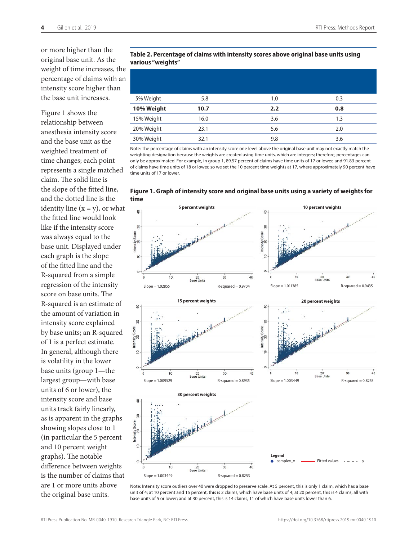or more higher than the original base unit. As the weight of time increases, the percentage of claims with an intensity score higher than the base unit increases.

Figure 1 shows the relationship between anesthesia intensity score and the base unit as the weighted treatment of time changes; each point represents a single matched claim. The solid line is the slope of the fitted line, and the dotted line is the identity line  $(x = y)$ , or what the fitted line would look like if the intensity score was always equal to the base unit. Displayed under each graph is the slope of the fitted line and the R-squared from a simple regression of the intensity score on base units. The R-squared is an estimate of the amount of variation in intensity score explained by base units; an R-squared of 1 is a perfect estimate. In general, although there is volatility in the lower base units (group 1—the largest group—with base units of 6 or lower), the intensity score and base units track fairly linearly, as is apparent in the graphs showing slopes close to 1 (in particular the 5 percent and 10 percent weight graphs). The notable difference between weights is the number of claims that are 1 or more units above the original base units.

#### **Table 2. Percentage of claims with intensity scores above original base units using various "weights"**

| 5% Weight  | 5.8  | 1.0 | 0.3 |
|------------|------|-----|-----|
| 10% Weight | 10.7 | 2.2 | 0.8 |
| 15% Weight | 16.0 | 3.6 | 1.3 |
| 20% Weight | 23.1 | 5.6 | 2.0 |
| 30% Weight | 32.1 | 9.8 | 3.6 |

Note: The percentage of claims with an intensity score one level above the original base unit may not exactly match the weighting designation because the weights are created using time units, which are integers; therefore, percentages can only be approximated. For example, in group 1, 89.57 percent of claims have time units of 17 or lower, and 91.83 percent of claims have time units of 18 or lower, so we set the 10 percent time weights at 17, where approximately 90 percent have time units of 17 or lower.





Note: Intensity score outliers over 40 were dropped to preserve scale. At 5 percent, this is only 1 claim, which has a base unit of 4; at 10 percent and 15 percent, this is 2 claims, which have base units of 4; at 20 percent, this is 4 claims, all with base units of 5 or lower; and at 30 percent, this is 14 claims, 11 of which have base units lower than 6.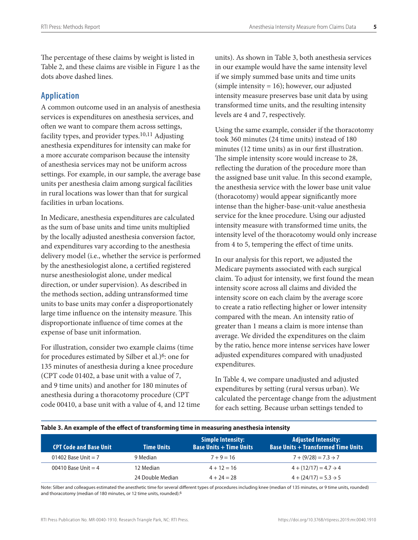<span id="page-8-0"></span>The percentage of these claims by weight is listed in Table 2, and these claims are visible in Figure 1 as the dots above dashed lines.

#### **Application**

A common outcome used in an analysis of anesthesia services is expenditures on anesthesia services, and often we want to compare them across settings, facility types, and provider types. $10,11$  Adjusting anesthesia expenditures for intensity can make for a more accurate comparison because the intensity of anesthesia services may not be uniform across settings. For example, in our sample, the average base units per anesthesia claim among surgical facilities in rural locations was lower than that for surgical facilities in urban locations.

In Medicare, anesthesia expenditures are calculated as the sum of base units and time units multiplied by the locally adjusted anesthesia conversion factor, and expenditures vary according to the anesthesia delivery model (i.e., whether the service is performed by the anesthesiologist alone, a certified registered nurse anesthesiologist alone, under medical direction, or under supervision). As described in the methods section, adding untransformed time units to base units may confer a disproportionately large time influence on the intensity measure. This disproportionate influence of time comes at the expense of base unit information.

For illustration, consider two example claims (time for procedures estimated by Silber et al.)<sup>6</sup>: one for 135 minutes of anesthesia during a knee procedure (CPT code 01402, a base unit with a value of 7, and 9 time units) and another for 180 minutes of anesthesia during a thoracotomy procedure (CPT code 00410, a base unit with a value of 4, and 12 time units). As shown in Table 3, both anesthesia services in our example would have the same intensity level if we simply summed base units and time units (simple intensity = 16); however, our adjusted intensity measure preserves base unit data by using transformed time units, and the resulting intensity levels are 4 and 7, respectively.

Using the same example, consider if the thoracotomy took 360 minutes (24 time units) instead of 180 minutes (12 time units) as in our first illustration. The simple intensity score would increase to 28, reflecting the duration of the procedure more than the assigned base unit value. In this second example, the anesthesia service with the lower base unit value (thoracotomy) would appear significantly more intense than the higher-base-unit-value anesthesia service for the knee procedure. Using our adjusted intensity measure with transformed time units, the intensity level of the thoracotomy would only increase from 4 to 5, tempering the effect of time units.

In our analysis for this report, we adjusted the Medicare payments associated with each surgical claim. To adjust for intensity, we first found the mean intensity score across all claims and divided the intensity score on each claim by the average score to create a ratio reflecting higher or lower intensity compared with the mean. An intensity ratio of greater than 1 means a claim is more intense than average. We divided the expenditures on the claim by the ratio, hence more intense services have lower adjusted expenditures compared with unadjusted expenditures.

In Table 4, we compare unadjusted and adjusted expenditures by setting (rural versus urban). We calculated the percentage change from the adjustment for each setting. Because urban settings tended to

| Table 5. An example of the enect of transforming time in ineasuring anesthesia intensity |                   |                                                            |                                                                          |  |
|------------------------------------------------------------------------------------------|-------------------|------------------------------------------------------------|--------------------------------------------------------------------------|--|
| <b>CPT Code and Base Unit</b>                                                            | <b>Time Units</b> | <b>Simple Intensity:</b><br><b>Base Units + Time Units</b> | <b>Adjusted Intensity:</b><br><b>Base Units + Transformed Time Units</b> |  |
| 01402 Base Unit $= 7$                                                                    | 9 Median          | $7 + 9 = 16$                                               | $7 + (9/28) = 7.3 \rightarrow 7$                                         |  |
| 00410 Base Unit $=$ 4                                                                    | 12 Median         | $4 + 12 = 16$                                              | $4 + (12/17) = 4.7 \rightarrow 4$                                        |  |
|                                                                                          | 24 Double Median  | $4 + 24 = 28$                                              | $4 + (24/17) = 5.3 \rightarrow 5$                                        |  |

#### **Table 3. An example of the effect of transforming time in measuring anesthesia intensity**

Note: Silber and colleagues estimated the anesthetic time for several different types of procedures including knee (median of 135 minutes, or 9 time units, rounded) and thoracotomy (median of 180 minutes, or 12 time units, rounded).6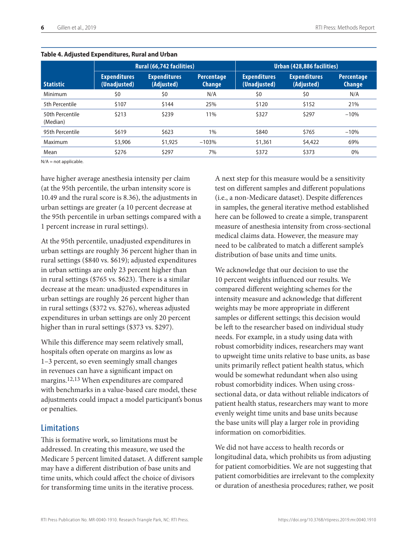|                             | Rural (66,742 facilities)           |                                   |                                    | Urban (428,886 facilities)          |                                   |                                    |  |
|-----------------------------|-------------------------------------|-----------------------------------|------------------------------------|-------------------------------------|-----------------------------------|------------------------------------|--|
| <b>Statistic</b>            | <b>Expenditures</b><br>(Unadjusted) | <b>Expenditures</b><br>(Adjusted) | <b>Percentage</b><br><b>Change</b> | <b>Expenditures</b><br>(Unadjusted) | <b>Expenditures</b><br>(Adjusted) | <b>Percentage</b><br><b>Change</b> |  |
| Minimum                     | \$0                                 | \$0                               | N/A                                | \$0                                 | \$0                               | N/A                                |  |
| 5th Percentile              | \$107                               | \$144                             | 25%                                | \$120                               | \$152                             | 21%                                |  |
| 50th Percentile<br>(Median) | \$213                               | \$239                             | 11%                                | \$327                               | \$297                             | $-10%$                             |  |
| 95th Percentile             | \$619                               | \$623                             | 1%                                 | \$840                               | \$765                             | $-10%$                             |  |
| Maximum                     | \$3,906                             | \$1,925                           | $-103%$                            | \$1,361                             | \$4,422                           | 69%                                |  |
| Mean                        | \$276                               | \$297                             | 7%                                 | \$372                               | \$373                             | 0%                                 |  |

#### <span id="page-9-0"></span>**Table 4. Adjusted Expenditures, Rural and Urban**

N/A = not applicable.

have higher average anesthesia intensity per claim (at the 95th percentile, the urban intensity score is 10.49 and the rural score is 8.36), the adjustments in urban settings are greater (a 10 percent decrease at the 95th percentile in urban settings compared with a 1 percent increase in rural settings).

At the 95th percentile, unadjusted expenditures in urban settings are roughly 36 percent higher than in rural settings (\$840 vs. \$619); adjusted expenditures in urban settings are only 23 percent higher than in rural settings (\$765 vs. \$623). There is a similar decrease at the mean: unadjusted expenditures in urban settings are roughly 26 percent higher than in rural settings (\$372 vs. \$276), whereas adjusted expenditures in urban settings are only 20 percent higher than in rural settings (\$373 vs. \$297).

While this difference may seem relatively small, hospitals often operate on margins as low as 1–3 percent, so even seemingly small changes in revenues can have a significant impact on margins.12,13 When expenditures are compared with benchmarks in a value-based care model, these adjustments could impact a model participant's bonus or penalties.

#### **Limitations**

This is formative work, so limitations must be addressed. In creating this measure, we used the Medicare 5 percent limited dataset. A different sample may have a different distribution of base units and time units, which could affect the choice of divisors for transforming time units in the iterative process.

A next step for this measure would be a sensitivity test on different samples and different populations (i.e., a non-Medicare dataset). Despite differences in samples, the general iterative method established here can be followed to create a simple, transparent measure of anesthesia intensity from cross-sectional medical claims data. However, the measure may need to be calibrated to match a different sample's distribution of base units and time units.

We acknowledge that our decision to use the 10 percent weights influenced our results. We compared different weighting schemes for the intensity measure and acknowledge that different weights may be more appropriate in different samples or different settings; this decision would be left to the researcher based on individual study needs. For example, in a study using data with robust comorbidity indices, researchers may want to upweight time units relative to base units, as base units primarily reflect patient health status, which would be somewhat redundant when also using robust comorbidity indices. When using crosssectional data, or data without reliable indicators of patient health status, researchers may want to more evenly weight time units and base units because the base units will play a larger role in providing information on comorbidities.

We did not have access to health records or longitudinal data, which prohibits us from adjusting for patient comorbidities. We are not suggesting that patient comorbidities are irrelevant to the complexity or duration of anesthesia procedures; rather, we posit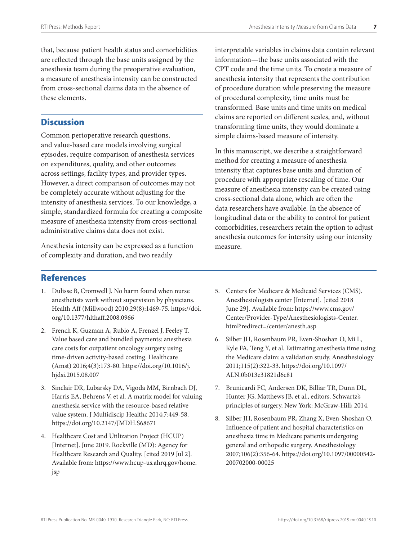<span id="page-10-0"></span>that, because patient health status and comorbidities are reflected through the base units assigned by the anesthesia team during the preoperative evaluation, a measure of anesthesia intensity can be constructed from cross-sectional claims data in the absence of these elements.

#### **Discussion**

Common perioperative research questions, and value-based care models involving surgical episodes, require comparison of anesthesia services on expenditures, quality, and other outcomes across settings, facility types, and provider types. However, a direct comparison of outcomes may not be completely accurate without adjusting for the intensity of anesthesia services. To our knowledge, a simple, standardized formula for creating a composite measure of anesthesia intensity from cross-sectional administrative claims data does not exist.

Anesthesia intensity can be expressed as a function of complexity and duration, and two readily

interpretable variables in claims data contain relevant information—the base units associated with the CPT code and the time units. To create a measure of anesthesia intensity that represents the contribution of procedure duration while preserving the measure of procedural complexity, time units must be transformed. Base units and time units on medical claims are reported on different scales, and, without transforming time units, they would dominate a simple claims-based measure of intensity.

In this manuscript, we describe a straightforward method for creating a measure of anesthesia intensity that captures base units and duration of procedure with appropriate rescaling of time. Our measure of anesthesia intensity can be created using cross-sectional data alone, which are often the data researchers have available. In the absence of longitudinal data or the ability to control for patient comorbidities, researchers retain the option to adjust anesthesia outcomes for intensity using our intensity measure.

#### References

- 1. Dulisse B, Cromwell J. No harm found when nurse anesthetists work without supervision by physicians. Health Aff (Millwood) 2010;29(8):1469-75. [https://doi.](https://doi.org/10.1377/hlthaff.2008.0966) [org/10.1377/hlthaff.2008.0966](https://doi.org/10.1377/hlthaff.2008.0966)
- 2. French K, Guzman A, Rubio A, Frenzel J, Feeley T. Value based care and bundled payments: anesthesia care costs for outpatient oncology surgery using time-driven activity-based costing. Healthcare (Amst) 2016;4(3):173-80. [https://doi.org/10.1016/j.](https://doi.org/10.1016/j.hjdsi.2015.08.007) [hjdsi.2015.08.007](https://doi.org/10.1016/j.hjdsi.2015.08.007)
- 3. Sinclair DR, Lubarsky DA, Vigoda MM, Birnbach DJ, Harris EA, Behrens V, et al. A matrix model for valuing anesthesia service with the resource-based relative value system. J Multidiscip Healthc 2014;7:449-58. <https://doi.org/10.2147/JMDH.S68671>
- 4. Healthcare Cost and Utilization Project (HCUP) [Internet]. June 2019. Rockville (MD): Agency for Healthcare Research and Quality. [cited 2019 Jul 2]. Available from: [https://www.hcup-us.ahrq.gov/home.](https://www.hcup-us.ahrq.gov/home.jsp) [jsp](https://www.hcup-us.ahrq.gov/home.jsp)
- 5. Centers for Medicare & Medicaid Services (CMS). Anesthesiologists center [Internet]. [cited 2018 June 29]. Available from: [https://www.cms.gov/](https://www.cms.gov/Center/Provider-Type/Anesthesiologists-Center.html?redirect=/center/anesth.asp) [Center/Provider-Type/Anesthesiologists-Center.](https://www.cms.gov/Center/Provider-Type/Anesthesiologists-Center.html?redirect=/center/anesth.asp) [html?redirect=/center/anesth.asp](https://www.cms.gov/Center/Provider-Type/Anesthesiologists-Center.html?redirect=/center/anesth.asp)
- 6. Silber JH, Rosenbaum PR, Even-Shoshan O, Mi L, Kyle FA, Teng Y, et al. Estimating anesthesia time using the Medicare claim: a validation study. Anesthesiology 2011;115(2):322-33. [https://doi.org/10.1097/](https://doi.org/10.1097/ALN.0b013e31821d6c81) [ALN.0b013e31821d6c81](https://doi.org/10.1097/ALN.0b013e31821d6c81)
- 7. Brunicardi FC, Andersen DK, Billiar TR, Dunn DL, Hunter JG, Matthews JB, et al., editors. Schwartz's principles of surgery. New York: McGraw-Hill; 2014.
- 8. Silber JH, Rosenbaum PR, Zhang X, Even-Shoshan O. Influence of patient and hospital characteristics on anesthesia time in Medicare patients undergoing general and orthopedic surgery. Anesthesiology 2007;106(2):356-64. [https://doi.org/10.1097/00000542-](https://doi.org/10.1097/00000542-200702000-00025) [200702000-00025](https://doi.org/10.1097/00000542-200702000-00025)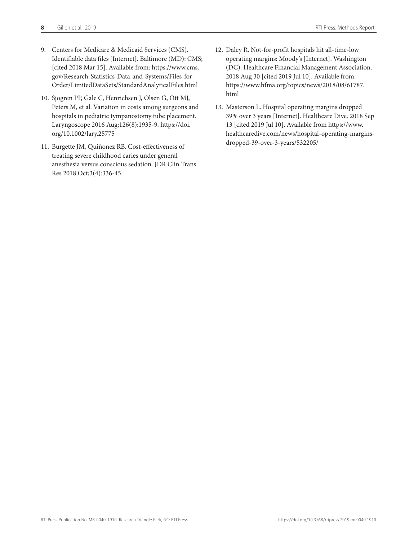- 9. Centers for Medicare & Medicaid Services (CMS). Identifiable data files [Internet]. Baltimore (MD): CMS; [cited 2018 Mar 15]. Available from: [https://www.cms.](https://www.cms.gov/Research-Statistics-Data-and-Systems/Files-for-Order/LimitedDataSets/StandardAnalyticalFiles.html) [gov/Research-Statistics-Data-and-Systems/Files-for-](https://www.cms.gov/Research-Statistics-Data-and-Systems/Files-for-Order/LimitedDataSets/StandardAnalyticalFiles.html)[Order/LimitedDataSets/StandardAnalyticalFiles.html](https://www.cms.gov/Research-Statistics-Data-and-Systems/Files-for-Order/LimitedDataSets/StandardAnalyticalFiles.html)
- 10. Sjogren PP, Gale C, Henrichsen J, Olsen G, Ott MJ, Peters M, et al. Variation in costs among surgeons and hospitals in pediatric tympanostomy tube placement. Laryngoscope 2016 Aug;126(8):1935-9. [https://doi.](https://doi.org/10.1002/lary.25775) [org/10.1002/lary.25775](https://doi.org/10.1002/lary.25775)
- 11. Burgette JM, Quiñonez RB. Cost-effectiveness of treating severe childhood caries under general anesthesia versus conscious sedation. JDR Clin Trans Res 2018 Oct;3(4):336-45.
- 12. Daley R. Not-for-profit hospitals hit all-time-low operating margins: Moody's [Internet]. Washington (DC): Healthcare Financial Management Association. 2018 Aug 30 [cited 2019 Jul 10]. Available from: [https://www.hfma.org/topics/news/2018/08/61787.](https://www.hfma.org/topics/news/2018/08/61787.html) [html](https://www.hfma.org/topics/news/2018/08/61787.html)
- 13. Masterson L. Hospital operating margins dropped 39% over 3 years [Internet]. Healthcare Dive. 2018 Sep 13 [cited 2019 Jul 10]. Available from [https://www.](https://www.healthcaredive.com/news/hospital-operating-margins-dropped-39-over-3-years/532205/) [healthcaredive.com/news/hospital-operating-margins](https://www.healthcaredive.com/news/hospital-operating-margins-dropped-39-over-3-years/532205/)[dropped-39-over-3-years/532205/](https://www.healthcaredive.com/news/hospital-operating-margins-dropped-39-over-3-years/532205/)